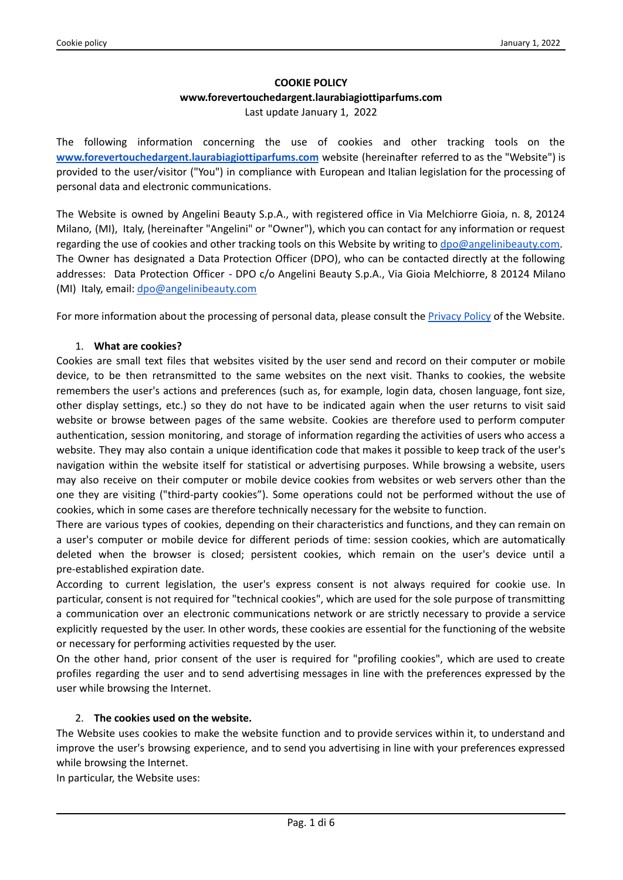# **COOKIE POLICY www.forevertouchedargent.laurabiagiottiparfums.com** Last update January 1, 2022

The following information concerning the use of cookies and other tracking tools on the **[www.forevertouchedargent.laurabiagiottiparfums.com](http://www.forevertouchedargent.laurabiagiottiparfums.com)** website (hereinafter referred to as the "Website") is provided to the user/visitor ("You") in compliance with European and Italian legislation for the processing of personal data and electronic communications.

The Website is owned by Angelini Beauty S.p.A., with registered office in Via Melchiorre Gioia, n. 8, 20124 Milano, (MI), Italy, (hereinafter "Angelini" or "Owner"), which you can contact for any information or request regarding the use of cookies and other tracking tools on this Website by writing to [dpo@angelinibeauty.com.](mailto:dpo@angelinibeauty.com) The Owner has designated a Data Protection Officer (DPO), who can be contacted directly at the following addresses: Data Protection Officer - DPO c/o Angelini Beauty S.p.A., Via Gioia Melchiorre, 8 20124 Milano (MI) Italy, email: [dpo@angelinibeauty.com](mailto:dpo@angelinibeauty.com)

For more information about the processing of personal data, please consult the [Privacy](https://forevertouchedargent.laurabiagiottiparfums.com/assets/pdf/en-privacy-policy.pdf) Policy of the Website.

### 1. **What are cookies?**

Cookies are small text files that websites visited by the user send and record on their computer or mobile device, to be then retransmitted to the same websites on the next visit. Thanks to cookies, the website remembers the user's actions and preferences (such as, for example, login data, chosen language, font size, other display settings, etc.) so they do not have to be indicated again when the user returns to visit said website or browse between pages of the same website. Cookies are therefore used to perform computer authentication, session monitoring, and storage of information regarding the activities of users who access a website. They may also contain a unique identification code that makes it possible to keep track of the user's navigation within the website itself for statistical or advertising purposes. While browsing a website, users may also receive on their computer or mobile device cookies from websites or web servers other than the one they are visiting ("third-party cookies"). Some operations could not be performed without the use of cookies, which in some cases are therefore technically necessary for the website to function.

There are various types of cookies, depending on their characteristics and functions, and they can remain on a user's computer or mobile device for different periods of time: session cookies, which are automatically deleted when the browser is closed; persistent cookies, which remain on the user's device until a pre-established expiration date.

According to current legislation, the user's express consent is not always required for cookie use. In particular, consent is not required for "technical cookies", which are used for the sole purpose of transmitting a communication over an electronic communications network or are strictly necessary to provide a service explicitly requested by the user. In other words, these cookies are essential for the functioning of the website or necessary for performing activities requested by the user.

On the other hand, prior consent of the user is required for "profiling cookies", which are used to create profiles regarding the user and to send advertising messages in line with the preferences expressed by the user while browsing the Internet.

### 2. **The cookies used on the website.**

The Website uses cookies to make the website function and to provide services within it, to understand and improve the user's browsing experience, and to send you advertising in line with your preferences expressed while browsing the Internet.

In particular, the Website uses: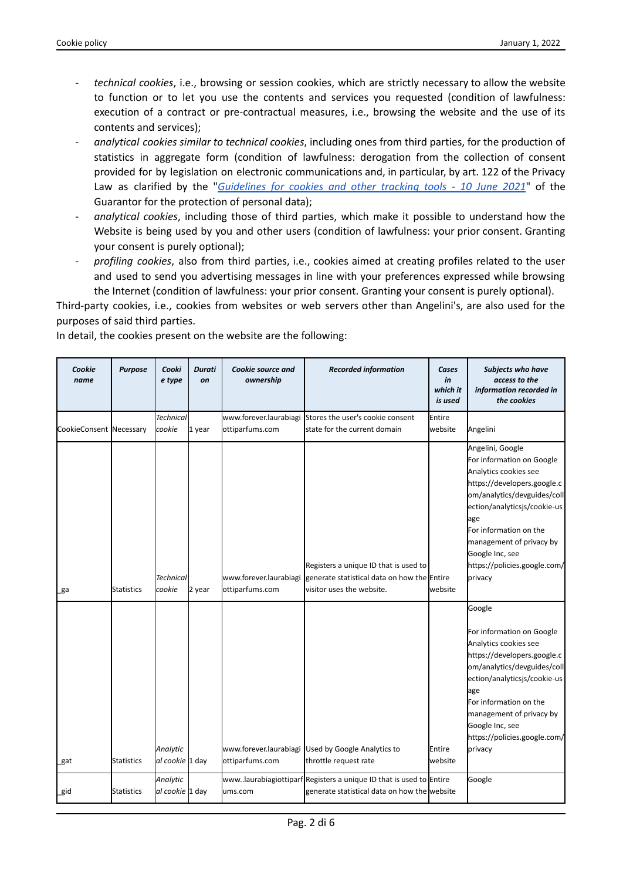- *technical cookies*, i.e., browsing or session cookies, which are strictly necessary to allow the website to function or to let you use the contents and services you requested (condition of lawfulness: execution of a contract or pre-contractual measures, i.e., browsing the website and the use of its contents and services);
- *analytical cookies similar to technical cookies*, including ones from third parties, for the production of statistics in aggregate form (condition of lawfulness: derogation from the collection of consent provided for by legislation on electronic communications and, in particular, by art. 122 of the Privacy Law as clarified by the "*[Guidelines](https://www.garanteprivacy.it/home/docweb/-/docweb-display/docweb/9677876) for cookies and other tracking tools - 10 June 2021*" of the Guarantor for the protection of personal data);
- *analytical cookies*, including those of third parties, which make it possible to understand how the Website is being used by you and other users (condition of lawfulness: your prior consent. Granting your consent is purely optional);
- *profiling cookies*, also from third parties, i.e., cookies aimed at creating profiles related to the user and used to send you advertising messages in line with your preferences expressed while browsing the Internet (condition of lawfulness: your prior consent. Granting your consent is purely optional).

Third-party cookies, i.e., cookies from websites or web servers other than Angelini's, are also used for the purposes of said third parties.

In detail, the cookies present on the website are the following:

| Cookie<br>name          | <b>Purpose</b>    | Cooki<br>e type             | Durati<br>on | Cookie source and<br>ownership            | <b>Recorded information</b>                                                                                         | Cases<br>in<br>which it<br>is used | Subjects who have<br>access to the<br>information recorded in<br>the cookies                                                                                                                                                                                                                    |
|-------------------------|-------------------|-----------------------------|--------------|-------------------------------------------|---------------------------------------------------------------------------------------------------------------------|------------------------------------|-------------------------------------------------------------------------------------------------------------------------------------------------------------------------------------------------------------------------------------------------------------------------------------------------|
|                         |                   | <b>Technical</b>            |              | www.forever.laurabiagi                    | Stores the user's cookie consent                                                                                    | Entire                             |                                                                                                                                                                                                                                                                                                 |
| CookieConsent Necessary |                   | cookie                      | 1 year       | ottiparfums.com                           | state for the current domain                                                                                        | website                            | Angelini                                                                                                                                                                                                                                                                                        |
|                         |                   | <b>Technical</b>            |              | www.forever.laurabiagi                    | Registers a unique ID that is used to<br>generate statistical data on how the Entire                                |                                    | Angelini, Google<br>For information on Google<br>Analytics cookies see<br>https://developers.google.c<br>om/analytics/devguides/coll<br>ection/analyticsjs/cookie-us<br>age<br>For information on the<br>management of privacy by<br>Google Inc, see<br>https://policies.google.com/<br>privacy |
| _ga                     | Statistics        | cookie                      | 2 year       | ottiparfums.com                           | visitor uses the website.                                                                                           | lwebsite                           |                                                                                                                                                                                                                                                                                                 |
| _gat                    | Statistics        | Analytic<br>al cookie 1 day |              | www.forever.laurabiagi<br>ottiparfums.com | Used by Google Analytics to<br>throttle request rate                                                                | Entire<br>website                  | Google<br>For information on Google<br>Analytics cookies see<br>https://developers.google.c  <br>om/analytics/devguides/coll<br>ection/analyticsjs/cookie-us<br>age<br>For information on the<br>management of privacy by<br>Google Inc, see<br>https://policies.google.com/<br>privacy         |
| _gid                    | <b>Statistics</b> | Analytic<br>al cookie 1 day |              | ums.com                                   | www.laurabiagiottiparf Registers a unique ID that is used to Entire<br>generate statistical data on how the website |                                    | Google                                                                                                                                                                                                                                                                                          |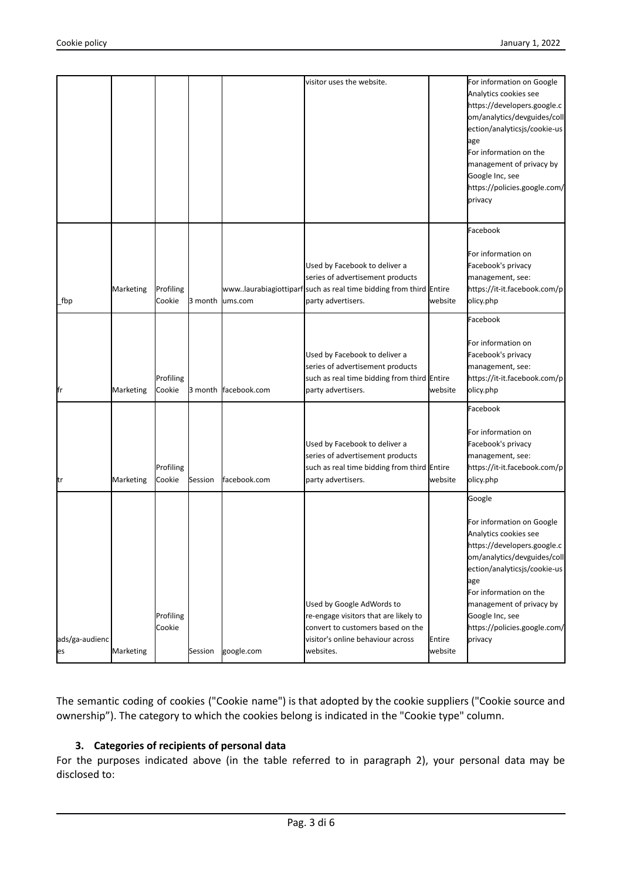|                      |           |                     |         |              |                                                                                                                                                              |                   | om/analytics/devguides/coll<br>ection/analyticsjs/cookie-us<br>age<br>For information on the<br>management of privacy by<br>Google Inc, see<br>https://policies.google.com/<br>privacy<br>Facebook<br>For information on                                                              |
|----------------------|-----------|---------------------|---------|--------------|--------------------------------------------------------------------------------------------------------------------------------------------------------------|-------------------|---------------------------------------------------------------------------------------------------------------------------------------------------------------------------------------------------------------------------------------------------------------------------------------|
| _fbp                 | Marketing | Profiling<br>Cookie | 3 month | ums.com      | Used by Facebook to deliver a<br>series of advertisement products<br>wwwlaurabiagiottiparf such as real time bidding from third Entire<br>party advertisers. | website           | Facebook's privacy<br>management, see:<br>https://it-it.facebook.com/p<br>olicy.php                                                                                                                                                                                                   |
| fr                   | Marketing | Profiling<br>Cookie | 3 month | facebook.com | Used by Facebook to deliver a<br>series of advertisement products<br>such as real time bidding from third Entire<br>party advertisers.                       | website           | Facebook<br>For information on<br>Facebook's privacy<br>management, see:<br>https://it-it.facebook.com/p<br>olicy.php                                                                                                                                                                 |
| tr                   | Marketing | Profiling<br>Cookie | Session | facebook.com | Used by Facebook to deliver a<br>series of advertisement products<br>such as real time bidding from third Entire<br>party advertisers.                       | website           | Facebook<br>For information on<br>Facebook's privacy<br>management, see:<br>https://it-it.facebook.com/p<br>olicy.php                                                                                                                                                                 |
| ads/ga-audienc<br>es | Marketing | Profiling<br>Cookie | Session | google.com   | Used by Google AdWords to<br>re-engage visitors that are likely to<br>convert to customers based on the<br>visitor's online behaviour across<br>websites.    | Entire<br>website | Google<br>For information on Google<br>Analytics cookies see<br>https://developers.google.c<br>om/analytics/devguides/coll<br>ection/analyticsjs/cookie-us<br>age<br>For information on the<br>management of privacy by<br>Google Inc, see<br>https://policies.google.com/<br>privacy |

The semantic coding of cookies ("Cookie name") is that adopted by the cookie suppliers ("Cookie source and ownership"). The category to which the cookies belong is indicated in the "Cookie type" column.

### **3. Categories of recipients of personal data**

For the purposes indicated above (in the table referred to in paragraph 2), your personal data may be disclosed to: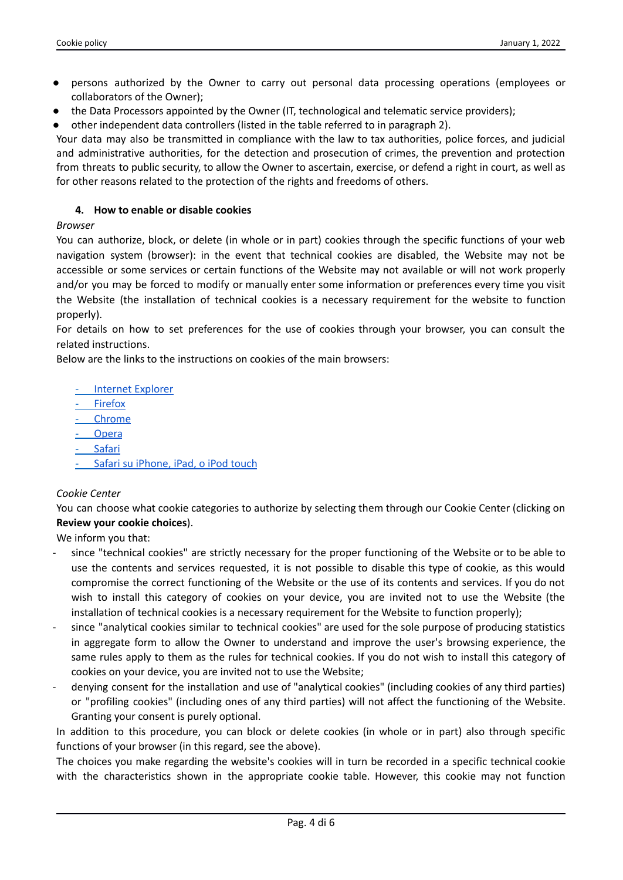- persons authorized by the Owner to carry out personal data processing operations (employees or collaborators of the Owner);
- the Data Processors appointed by the Owner (IT, technological and telematic service providers);
- other independent data controllers (listed in the table referred to in paragraph 2).

Your data may also be transmitted in compliance with the law to tax authorities, police forces, and judicial and administrative authorities, for the detection and prosecution of crimes, the prevention and protection from threats to public security, to allow the Owner to ascertain, exercise, or defend a right in court, as well as for other reasons related to the protection of the rights and freedoms of others.

## **4. How to enable or disable cookies**

### *Browser*

You can authorize, block, or delete (in whole or in part) cookies through the specific functions of your web navigation system (browser): in the event that technical cookies are disabled, the Website may not be accessible or some services or certain functions of the Website may not available or will not work properly and/or you may be forced to modify or manually enter some information or preferences every time you visit the Website (the installation of technical cookies is a necessary requirement for the website to function properly).

For details on how to set preferences for the use of cookies through your browser, you can consult the related instructions.

Below are the links to the instructions on cookies of the main browsers:

- Internet [Explorer](https://support.microsoft.com/it-it/help/17442/windows-internet-explorer-delete-manage-cookies)

- [Firefox](https://support.mozilla.org/it/kb/Bloccare%20i%20cookie)
- [Chrome](https://support.google.com/chrome/answer/95647?hl=it&topic=14666&ctx=topic)
- **[Opera](https://www.opera.com/help/tutorials/security/cookies/)**
- **[Safari](https://support.apple.com/it-it/guide/safari/sfri11471/mac)**
- Safari su [iPhone,](https://support.apple.com/it-it/HT201265) iPad, o iPod touch

### *Cookie Center*

You can choose what cookie categories to authorize by selecting them through our Cookie Center (clicking on **Review your cookie choices**).

We inform you that:

- since "technical cookies" are strictly necessary for the proper functioning of the Website or to be able to use the contents and services requested, it is not possible to disable this type of cookie, as this would compromise the correct functioning of the Website or the use of its contents and services. If you do not wish to install this category of cookies on your device, you are invited not to use the Website (the installation of technical cookies is a necessary requirement for the Website to function properly);
- since "analytical cookies similar to technical cookies" are used for the sole purpose of producing statistics in aggregate form to allow the Owner to understand and improve the user's browsing experience, the same rules apply to them as the rules for technical cookies. If you do not wish to install this category of cookies on your device, you are invited not to use the Website;
- denying consent for the installation and use of "analytical cookies" (including cookies of any third parties) or "profiling cookies" (including ones of any third parties) will not affect the functioning of the Website. Granting your consent is purely optional.

In addition to this procedure, you can block or delete cookies (in whole or in part) also through specific functions of your browser (in this regard, see the above).

The choices you make regarding the website's cookies will in turn be recorded in a specific technical cookie with the characteristics shown in the appropriate cookie table. However, this cookie may not function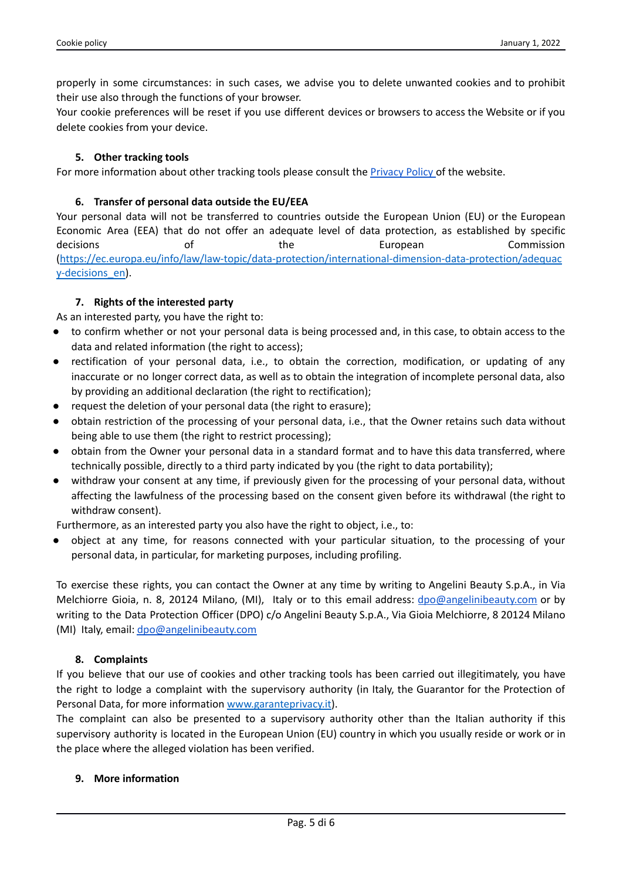properly in some circumstances: in such cases, we advise you to delete unwanted cookies and to prohibit their use also through the functions of your browser.

Your cookie preferences will be reset if you use different devices or browsers to access the Website or if you delete cookies from your device.

### **5. Other tracking tools**

For more information about other tracking tools please consult the [Privacy](https://forevertouchedargent.laurabiagiottiparfums.com/assets/pdf/en-privacy-policy.pdf) Policy of the website.

### **6. Transfer of personal data outside the EU/EEA**

Your personal data will not be transferred to countries outside the European Union (EU) or the European Economic Area (EEA) that do not offer an adequate level of data protection, as established by specific decisions of the European Commission [\(https://ec.europa.eu/info/law/law-topic/data-protection/international-dimension-data-protection/adequac](https://ec.europa.eu/info/law/law-topic/data-protection/international-dimension-data-protection/adequacy-decisions_en) [y-decisions\\_en\)](https://ec.europa.eu/info/law/law-topic/data-protection/international-dimension-data-protection/adequacy-decisions_en).

### **7. Rights of the interested party**

As an interested party, you have the right to:

- to confirm whether or not your personal data is being processed and, in this case, to obtain access to the data and related information (the right to access);
- rectification of your personal data, i.e., to obtain the correction, modification, or updating of any inaccurate or no longer correct data, as well as to obtain the integration of incomplete personal data, also by providing an additional declaration (the right to rectification);
- request the deletion of your personal data (the right to erasure);
- obtain restriction of the processing of your personal data, i.e., that the Owner retains such data without being able to use them (the right to restrict processing);
- obtain from the Owner your personal data in a standard format and to have this data transferred, where technically possible, directly to a third party indicated by you (the right to data portability);
- withdraw your consent at any time, if previously given for the processing of your personal data, without affecting the lawfulness of the processing based on the consent given before its withdrawal (the right to withdraw consent).

Furthermore, as an interested party you also have the right to object, i.e., to:

object at any time, for reasons connected with your particular situation, to the processing of your personal data, in particular, for marketing purposes, including profiling.

To exercise these rights, you can contact the Owner at any time by writing to Angelini Beauty S.p.A., in Via Melchiorre Gioia, n. 8, 20124 Milano, (MI), Italy or to this email address: [dpo@angelinibeauty.com](mailto:dpo@angelinibeauty.com) or by writing to the Data Protection Officer (DPO) c/o Angelini Beauty S.p.A., Via Gioia Melchiorre, 8 20124 Milano (MI) Italy, email: [dpo@angelinibeauty.com](mailto:dpo@angelinibeauty.com)

#### **8. Complaints**

If you believe that our use of cookies and other tracking tools has been carried out illegitimately, you have the right to lodge a complaint with the supervisory authority (in Italy, the Guarantor for the Protection of Personal Data, for more information [www.garanteprivacy.it](http://www.garanteprivacy.it)).

The complaint can also be presented to a supervisory authority other than the Italian authority if this supervisory authority is located in the European Union (EU) country in which you usually reside or work or in the place where the alleged violation has been verified.

#### **9. More information**